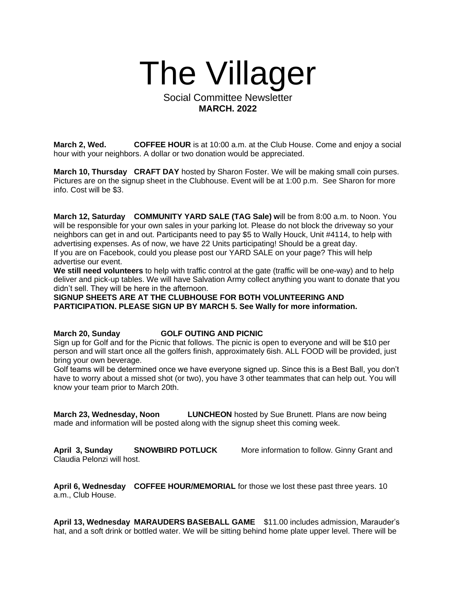

## Social Committee Newsletter **MARCH. 2022**

**March 2, Wed. COFFEE HOUR** is at 10:00 a.m. at the Club House. Come and enjoy a social hour with your neighbors. A dollar or two donation would be appreciated.

**March 10, Thursday CRAFT DAY** hosted by Sharon Foster. We will be making small coin purses. Pictures are on the signup sheet in the Clubhouse. Event will be at 1:00 p.m. See Sharon for more info. Cost will be \$3.

**March 12, Saturday COMMUNITY YARD SALE (TAG Sale) w**ill be from 8:00 a.m. to Noon. You will be responsible for your own sales in your parking lot. Please do not block the driveway so your neighbors can get in and out. Participants need to pay \$5 to Wally Houck, Unit #4114, to help with advertising expenses. As of now, we have 22 Units participating! Should be a great day. If you are on Facebook, could you please post our YARD SALE on your page? This will help advertise our event.

**We still need volunteers** to help with traffic control at the gate (traffic will be one-way) and to help deliver and pick-up tables. We will have Salvation Army collect anything you want to donate that you didn't sell. They will be here in the afternoon.

**SIGNUP SHEETS ARE AT THE CLUBHOUSE FOR BOTH VOLUNTEERING AND PARTICIPATION. PLEASE SIGN UP BY MARCH 5. See Wally for more information.**

**March 20, Sunday GOLF OUTING AND PICNIC**

Sign up for Golf and for the Picnic that follows. The picnic is open to everyone and will be \$10 per person and will start once all the golfers finish, approximately 6ish. ALL FOOD will be provided, just bring your own beverage.

Golf teams will be determined once we have everyone signed up. Since this is a Best Ball, you don't have to worry about a missed shot (or two), you have 3 other teammates that can help out. You will know your team prior to March 20th.

**March 23, Wednesday, Noon LUNCHEON** hosted by Sue Brunett. Plans are now being made and information will be posted along with the signup sheet this coming week.

**April 3, Sunday SNOWBIRD POTLUCK** More information to follow. Ginny Grant and Claudia Pelonzi will host.

**April 6, Wednesday COFFEE HOUR/MEMORIAL** for those we lost these past three years. 10 a.m., Club House.

**April 13, Wednesday MARAUDERS BASEBALL GAME** \$11.00 includes admission, Marauder's hat, and a soft drink or bottled water. We will be sitting behind home plate upper level. There will be